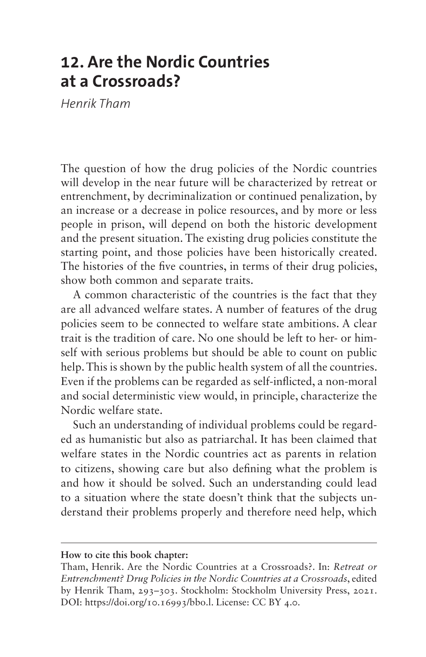## **12. Are the Nordic Countries at a Crossroads?**

*Henrik Tham*

The question of how the drug policies of the Nordic countries will develop in the near future will be characterized by retreat or entrenchment, by decriminalization or continued penalization, by an increase or a decrease in police resources, and by more or less people in prison, will depend on both the historic development and the present situation. The existing drug policies constitute the starting point, and those policies have been historically created. The histories of the five countries, in terms of their drug policies, show both common and separate traits.

A common characteristic of the countries is the fact that they are all advanced welfare states. A number of features of the drug policies seem to be connected to welfare state ambitions. A clear trait is the tradition of care. No one should be left to her- or himself with serious problems but should be able to count on public help. This is shown by the public health system of all the countries. Even if the problems can be regarded as self-inflicted, a non-moral and social deterministic view would, in principle, characterize the Nordic welfare state.

Such an understanding of individual problems could be regarded as humanistic but also as patriarchal. It has been claimed that welfare states in the Nordic countries act as parents in relation to citizens, showing care but also defining what the problem is and how it should be solved. Such an understanding could lead to a situation where the state doesn't think that the subjects understand their problems properly and therefore need help, which

## **How to cite this book chapter:**

Tham, Henrik. Are the Nordic Countries at a Crossroads?. In: *Retreat or Entrenchment? Drug Policies in the Nordic Countries at a Crossroads*, edited by Henrik Tham, 293–303. Stockholm: Stockholm University Press, 2021. DOI: [https://doi.org/10.16993/bbo.l.](https://doi.org/10.16993/bbo.l) License: CC BY 4.0.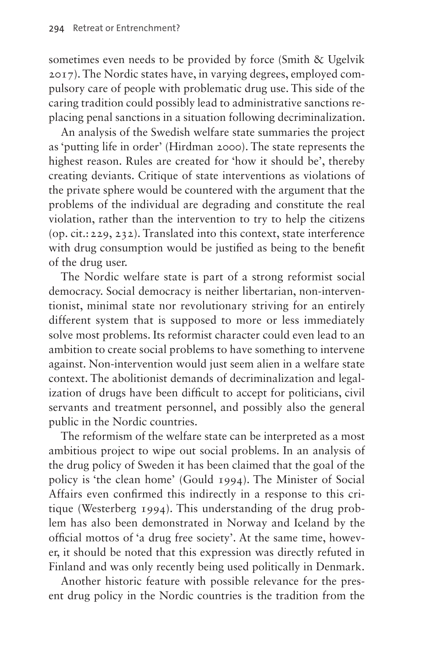sometimes even needs to be provided by force (Smith & Ugelvik 2017). The Nordic states have, in varying degrees, employed compulsory care of people with problematic drug use. This side of the caring tradition could possibly lead to administrative sanctions replacing penal sanctions in a situation following decriminalization.

An analysis of the Swedish welfare state summaries the project as 'putting life in order' (Hirdman 2000). The state represents the highest reason. Rules are created for 'how it should be', thereby creating deviants. Critique of state interventions as violations of the private sphere would be countered with the argument that the problems of the individual are degrading and constitute the real violation, rather than the intervention to try to help the citizens (op. cit.:229, 232). Translated into this context, state interference with drug consumption would be justified as being to the benefit of the drug user.

The Nordic welfare state is part of a strong reformist social democracy. Social democracy is neither libertarian, non-interventionist, minimal state nor revolutionary striving for an entirely different system that is supposed to more or less immediately solve most problems. Its reformist character could even lead to an ambition to create social problems to have something to intervene against. Non-intervention would just seem alien in a welfare state context. The abolitionist demands of decriminalization and legalization of drugs have been difficult to accept for politicians, civil servants and treatment personnel, and possibly also the general public in the Nordic countries.

The reformism of the welfare state can be interpreted as a most ambitious project to wipe out social problems. In an analysis of the drug policy of Sweden it has been claimed that the goal of the policy is 'the clean home' (Gould 1994). The Minister of Social Affairs even confirmed this indirectly in a response to this critique (Westerberg 1994). This understanding of the drug problem has also been demonstrated in Norway and Iceland by the official mottos of 'a drug free society'. At the same time, however, it should be noted that this expression was directly refuted in Finland and was only recently being used politically in Denmark.

Another historic feature with possible relevance for the present drug policy in the Nordic countries is the tradition from the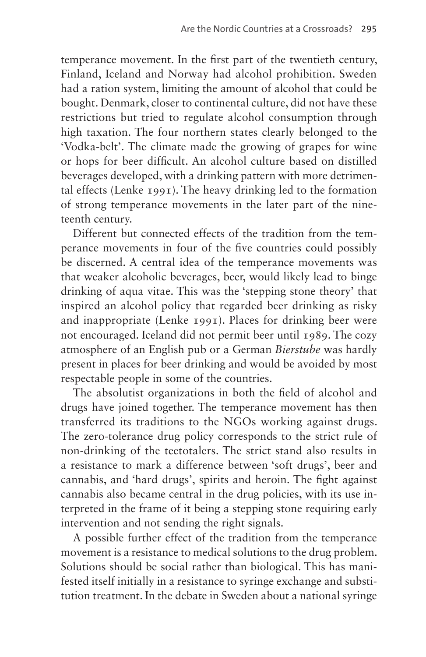temperance movement. In the first part of the twentieth century, Finland, Iceland and Norway had alcohol prohibition. Sweden had a ration system, limiting the amount of alcohol that could be bought. Denmark, closer to continental culture, did not have these restrictions but tried to regulate alcohol consumption through high taxation. The four northern states clearly belonged to the 'Vodka-belt'. The climate made the growing of grapes for wine or hops for beer difficult. An alcohol culture based on distilled beverages developed, with a drinking pattern with more detrimental effects (Lenke 1991). The heavy drinking led to the formation of strong temperance movements in the later part of the nineteenth century.

Different but connected effects of the tradition from the temperance movements in four of the five countries could possibly be discerned. A central idea of the temperance movements was that weaker alcoholic beverages, beer, would likely lead to binge drinking of aqua vitae. This was the 'stepping stone theory' that inspired an alcohol policy that regarded beer drinking as risky and inappropriate (Lenke 1991). Places for drinking beer were not encouraged. Iceland did not permit beer until 1989. The cozy atmosphere of an English pub or a German *Bierstube* was hardly present in places for beer drinking and would be avoided by most respectable people in some of the countries.

The absolutist organizations in both the field of alcohol and drugs have joined together. The temperance movement has then transferred its traditions to the NGOs working against drugs. The zero-tolerance drug policy corresponds to the strict rule of non-drinking of the teetotalers. The strict stand also results in a resistance to mark a difference between 'soft drugs', beer and cannabis, and 'hard drugs', spirits and heroin. The fight against cannabis also became central in the drug policies, with its use interpreted in the frame of it being a stepping stone requiring early intervention and not sending the right signals.

A possible further effect of the tradition from the temperance movement is a resistance to medical solutions to the drug problem. Solutions should be social rather than biological. This has manifested itself initially in a resistance to syringe exchange and substitution treatment. In the debate in Sweden about a national syringe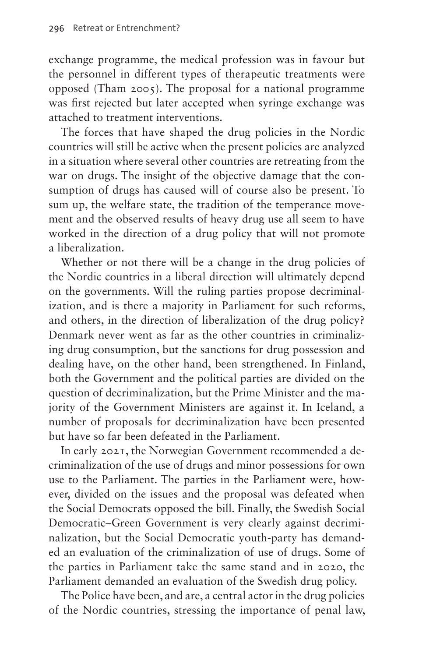exchange programme, the medical profession was in favour but the personnel in different types of therapeutic treatments were opposed (Tham 2005). The proposal for a national programme was first rejected but later accepted when syringe exchange was attached to treatment interventions.

The forces that have shaped the drug policies in the Nordic countries will still be active when the present policies are analyzed in a situation where several other countries are retreating from the war on drugs. The insight of the objective damage that the consumption of drugs has caused will of course also be present. To sum up, the welfare state, the tradition of the temperance movement and the observed results of heavy drug use all seem to have worked in the direction of a drug policy that will not promote a liberalization.

Whether or not there will be a change in the drug policies of the Nordic countries in a liberal direction will ultimately depend on the governments. Will the ruling parties propose decriminalization, and is there a majority in Parliament for such reforms, and others, in the direction of liberalization of the drug policy? Denmark never went as far as the other countries in criminalizing drug consumption, but the sanctions for drug possession and dealing have, on the other hand, been strengthened. In Finland, both the Government and the political parties are divided on the question of decriminalization, but the Prime Minister and the majority of the Government Ministers are against it. In Iceland, a number of proposals for decriminalization have been presented but have so far been defeated in the Parliament.

In early 2021, the Norwegian Government recommended a decriminalization of the use of drugs and minor possessions for own use to the Parliament. The parties in the Parliament were, however, divided on the issues and the proposal was defeated when the Social Democrats opposed the bill. Finally, the Swedish Social Democratic–Green Government is very clearly against decriminalization, but the Social Democratic youth-party has demanded an evaluation of the criminalization of use of drugs. Some of the parties in Parliament take the same stand and in 2020, the Parliament demanded an evaluation of the Swedish drug policy.

The Police have been, and are, a central actor in the drug policies of the Nordic countries, stressing the importance of penal law,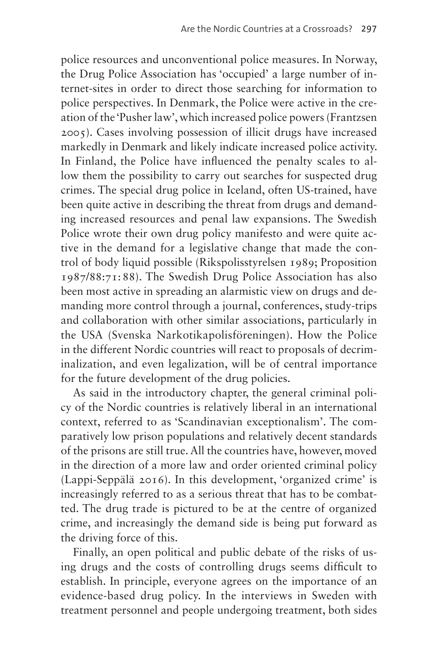police resources and unconventional police measures. In Norway, the Drug Police Association has 'occupied' a large number of internet-sites in order to direct those searching for information to police perspectives. In Denmark, the Police were active in the creation of the 'Pusher law', which increased police powers (Frantzsen 2005). Cases involving possession of illicit drugs have increased markedly in Denmark and likely indicate increased police activity. In Finland, the Police have influenced the penalty scales to allow them the possibility to carry out searches for suspected drug crimes. The special drug police in Iceland, often US-trained, have been quite active in describing the threat from drugs and demanding increased resources and penal law expansions. The Swedish Police wrote their own drug policy manifesto and were quite active in the demand for a legislative change that made the control of body liquid possible (Rikspolisstyrelsen 1989; Proposition 1987/88:71:88). The Swedish Drug Police Association has also been most active in spreading an alarmistic view on drugs and demanding more control through a journal, conferences, study-trips and collaboration with other similar associations, particularly in the USA (Svenska Narkotikapolisföreningen). How the Police in the different Nordic countries will react to proposals of decriminalization, and even legalization, will be of central importance for the future development of the drug policies.

As said in the introductory chapter, the general criminal policy of the Nordic countries is relatively liberal in an international context, referred to as 'Scandinavian exceptionalism'. The comparatively low prison populations and relatively decent standards of the prisons are still true. All the countries have, however, moved in the direction of a more law and order oriented criminal policy (Lappi-Seppälä 2016). In this development, 'organized crime' is increasingly referred to as a serious threat that has to be combatted. The drug trade is pictured to be at the centre of organized crime, and increasingly the demand side is being put forward as the driving force of this.

Finally, an open political and public debate of the risks of using drugs and the costs of controlling drugs seems difficult to establish. In principle, everyone agrees on the importance of an evidence-based drug policy. In the interviews in Sweden with treatment personnel and people undergoing treatment, both sides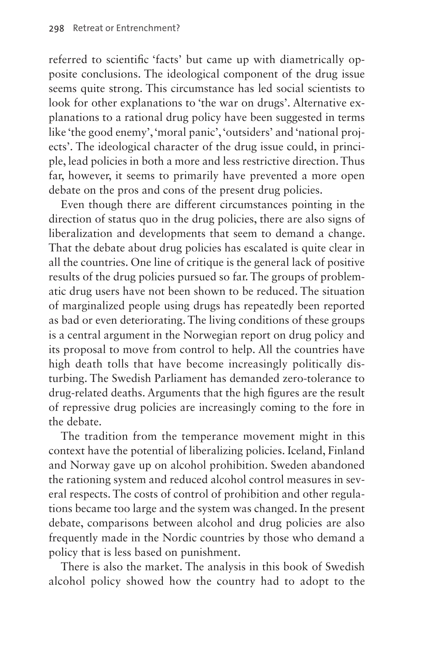referred to scientific 'facts' but came up with diametrically opposite conclusions. The ideological component of the drug issue seems quite strong. This circumstance has led social scientists to look for other explanations to 'the war on drugs'. Alternative explanations to a rational drug policy have been suggested in terms like 'the good enemy', 'moral panic', 'outsiders' and 'national projects'. The ideological character of the drug issue could, in principle, lead policies in both a more and less restrictive direction. Thus far, however, it seems to primarily have prevented a more open debate on the pros and cons of the present drug policies.

Even though there are different circumstances pointing in the direction of status quo in the drug policies, there are also signs of liberalization and developments that seem to demand a change. That the debate about drug policies has escalated is quite clear in all the countries. One line of critique is the general lack of positive results of the drug policies pursued so far. The groups of problematic drug users have not been shown to be reduced. The situation of marginalized people using drugs has repeatedly been reported as bad or even deteriorating. The living conditions of these groups is a central argument in the Norwegian report on drug policy and its proposal to move from control to help. All the countries have high death tolls that have become increasingly politically disturbing. The Swedish Parliament has demanded zero-tolerance to drug-related deaths. Arguments that the high figures are the result of repressive drug policies are increasingly coming to the fore in the debate.

The tradition from the temperance movement might in this context have the potential of liberalizing policies. Iceland, Finland and Norway gave up on alcohol prohibition. Sweden abandoned the rationing system and reduced alcohol control measures in several respects. The costs of control of prohibition and other regulations became too large and the system was changed. In the present debate, comparisons between alcohol and drug policies are also frequently made in the Nordic countries by those who demand a policy that is less based on punishment.

There is also the market. The analysis in this book of Swedish alcohol policy showed how the country had to adopt to the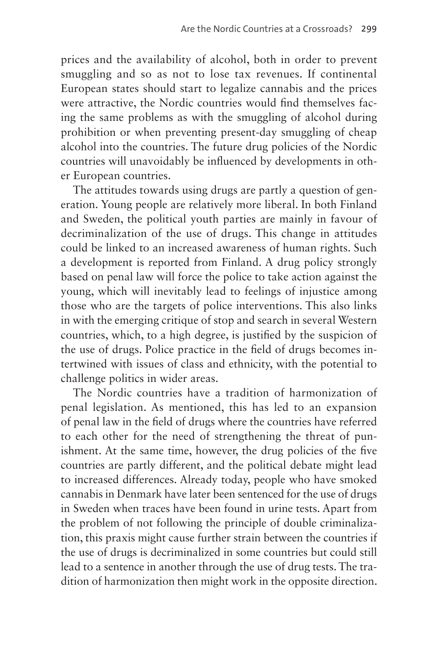prices and the availability of alcohol, both in order to prevent smuggling and so as not to lose tax revenues. If continental European states should start to legalize cannabis and the prices were attractive, the Nordic countries would find themselves facing the same problems as with the smuggling of alcohol during prohibition or when preventing present-day smuggling of cheap alcohol into the countries. The future drug policies of the Nordic countries will unavoidably be influenced by developments in other European countries.

The attitudes towards using drugs are partly a question of generation. Young people are relatively more liberal. In both Finland and Sweden, the political youth parties are mainly in favour of decriminalization of the use of drugs. This change in attitudes could be linked to an increased awareness of human rights. Such a development is reported from Finland. A drug policy strongly based on penal law will force the police to take action against the young, which will inevitably lead to feelings of injustice among those who are the targets of police interventions. This also links in with the emerging critique of stop and search in several Western countries, which, to a high degree, is justified by the suspicion of the use of drugs. Police practice in the field of drugs becomes intertwined with issues of class and ethnicity, with the potential to challenge politics in wider areas.

The Nordic countries have a tradition of harmonization of penal legislation. As mentioned, this has led to an expansion of penal law in the field of drugs where the countries have referred to each other for the need of strengthening the threat of punishment. At the same time, however, the drug policies of the five countries are partly different, and the political debate might lead to increased differences. Already today, people who have smoked cannabis in Denmark have later been sentenced for the use of drugs in Sweden when traces have been found in urine tests. Apart from the problem of not following the principle of double criminalization, this praxis might cause further strain between the countries if the use of drugs is decriminalized in some countries but could still lead to a sentence in another through the use of drug tests. The tradition of harmonization then might work in the opposite direction.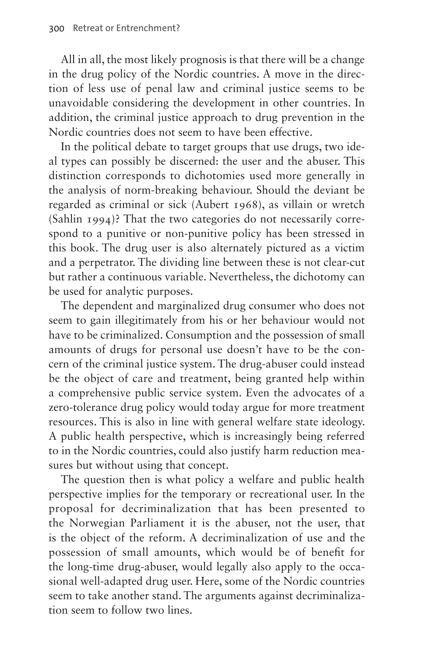All in all, the most likely prognosis is that there will be a change in the drug policy of the Nordic countries. A move in the direction of less use of penal law and criminal justice seems to be unavoidable considering the development in other countries. In addition, the criminal justice approach to drug prevention in the Nordic countries does not seem to have been effective.

In the political debate to target groups that use drugs, two ideal types can possibly be discerned: the user and the abuser. This distinction corresponds to dichotomies used more generally in the analysis of norm-breaking behaviour. Should the deviant be regarded as criminal or sick (Aubert 1968), as villain or wretch (Sahlin 1994)? That the two categories do not necessarily correspond to a punitive or non-punitive policy has been stressed in this book. The drug user is also alternately pictured as a victim and a perpetrator. The dividing line between these is not clear-cut but rather a continuous variable. Nevertheless, the dichotomy can be used for analytic purposes.

The dependent and marginalized drug consumer who does not seem to gain illegitimately from his or her behaviour would not have to be criminalized. Consumption and the possession of small amounts of drugs for personal use doesn't have to be the concern of the criminal justice system. The drug-abuser could instead be the object of care and treatment, being granted help within a comprehensive public service system. Even the advocates of a zero-tolerance drug policy would today argue for more treatment resources. This is also in line with general welfare state ideology. A public health perspective, which is increasingly being referred to in the Nordic countries, could also justify harm reduction measures but without using that concept.

The question then is what policy a welfare and public health perspective implies for the temporary or recreational user. In the proposal for decriminalization that has been presented to the Norwegian Parliament it is the abuser, not the user, that is the object of the reform. A decriminalization of use and the possession of small amounts, which would be of benefit for the long-time drug-abuser, would legally also apply to the occasional well-adapted drug user. Here, some of the Nordic countries seem to take another stand. The arguments against decriminalization seem to follow two lines.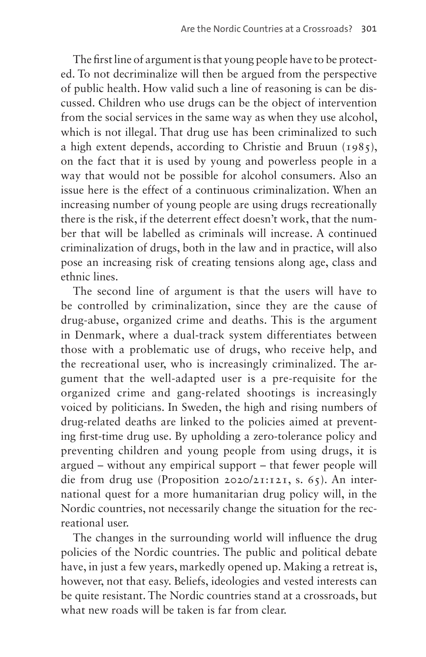The first line of argument is that young people have to be protected. To not decriminalize will then be argued from the perspective of public health. How valid such a line of reasoning is can be discussed. Children who use drugs can be the object of intervention from the social services in the same way as when they use alcohol, which is not illegal. That drug use has been criminalized to such a high extent depends, according to Christie and Bruun (1985), on the fact that it is used by young and powerless people in a way that would not be possible for alcohol consumers. Also an issue here is the effect of a continuous criminalization. When an increasing number of young people are using drugs recreationally there is the risk, if the deterrent effect doesn't work, that the number that will be labelled as criminals will increase. A continued criminalization of drugs, both in the law and in practice, will also pose an increasing risk of creating tensions along age, class and ethnic lines.

The second line of argument is that the users will have to be controlled by criminalization, since they are the cause of drug-abuse, organized crime and deaths. This is the argument in Denmark, where a dual-track system differentiates between those with a problematic use of drugs, who receive help, and the recreational user, who is increasingly criminalized. The argument that the well-adapted user is a pre-requisite for the organized crime and gang-related shootings is increasingly voiced by politicians. In Sweden, the high and rising numbers of drug-related deaths are linked to the policies aimed at preventing first-time drug use. By upholding a zero-tolerance policy and preventing children and young people from using drugs, it is argued – without any empirical support – that fewer people will die from drug use (Proposition 2020/21:121, s. 65). An international quest for a more humanitarian drug policy will, in the Nordic countries, not necessarily change the situation for the recreational user.

The changes in the surrounding world will influence the drug policies of the Nordic countries. The public and political debate have, in just a few years, markedly opened up. Making a retreat is, however, not that easy. Beliefs, ideologies and vested interests can be quite resistant. The Nordic countries stand at a crossroads, but what new roads will be taken is far from clear.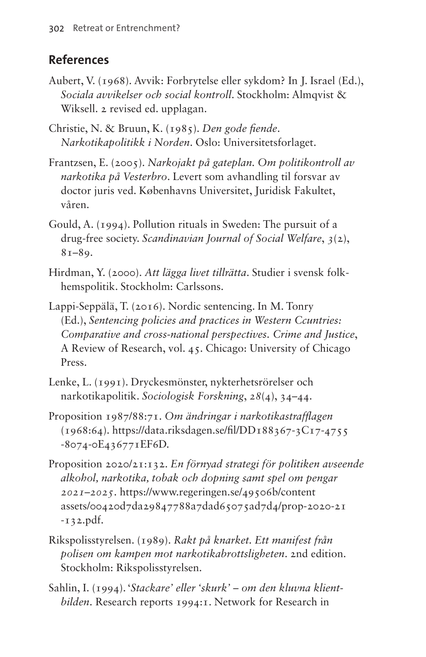## **References**

- Aubert, V. (1968). Avvik: Forbrytelse eller sykdom? In J. Israel (Ed.), *Sociala avvikelser och social kontroll*. Stockholm: Almqvist & Wiksell. 2 revised ed. upplagan.
- Christie, N. & Bruun, K. (1985). *Den gode fiende*. *Narkotikapolitikk i Norden*. Oslo: Universitetsforlaget.
- Frantzsen, E. (2005). *Narkojakt på gateplan. Om politikontroll av narkotika på Vesterbro*. Levert som avhandling til forsvar av doctor juris ved. Københavns Universitet, Juridisk Fakultet, våren.
- Gould, A. (1994). Pollution rituals in Sweden: The pursuit of a drug-free society. *Scandinavian Journal of Social Welfare*, *3*(2), 81–89.
- Hirdman, Y. (2000). *Att lägga livet tillrätta*. Studier i svensk folkhemspolitik. Stockholm: Carlssons.
- Lappi-Seppälä, T. (2016). Nordic sentencing. In M. Tonry (Ed.), *Sentencing policies and practices in Western Ccuntries: Comparative and cross-national perspectives. Crime and Justice*, A Review of Research, vol. 45. Chicago: University of Chicago Press.
- Lenke, L. (1991). Dryckesmönster, nykterhetsrörelser och narkotikapolitik. *Sociologisk Forskning*, *28*(4), 34–44.
- Proposition 1987/88:71. *Om ändringar i narkotikastrafflagen* (1968:64). [https://data.riksdagen.se/fil/DD188367-3C17-4755](https://data.riksdagen.se/fil/DD188367-3C17-4755-8074-0E436771EF﻿6D) [-8074-0E436771EF6D](https://data.riksdagen.se/fil/DD188367-3C17-4755-8074-0E436771EF﻿6D).
- Proposition 2020/21:132. *En förnyad strategi för politiken avseende alkohol, narkotika, tobak och dopning samt spel om pengar 2021–2025*. [https://www.regeringen.se/49506b/content](https://www.regeringen.se/49506b/contentassets/00420d7da29847788a7dad65075ad7d4/prop-2020-21-132.p﻿df) [assets/00420d7da29847788a7dad65075ad7d4/prop-2020-21](https://www.regeringen.se/49506b/contentassets/00420d7da29847788a7dad65075ad7d4/prop-2020-21-132.p﻿df) [-132.pdf.](https://www.regeringen.se/49506b/contentassets/00420d7da29847788a7dad65075ad7d4/prop-2020-21-132.p﻿df)
- Rikspolisstyrelsen. (1989). *Rakt på knarket. Ett manifest från polisen om kampen mot narkotikabrottsligheten*. 2nd edition. Stockholm: Rikspolisstyrelsen.
- Sahlin, I. (1994). '*Stackare' eller 'skurk' om den kluvna klientbilden*. Research reports 1994:1. Network for Research in